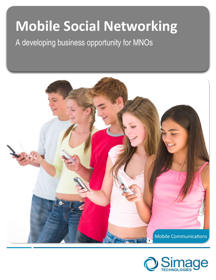# **Mobile Social Networking**

A developing business opportunity for MNOs